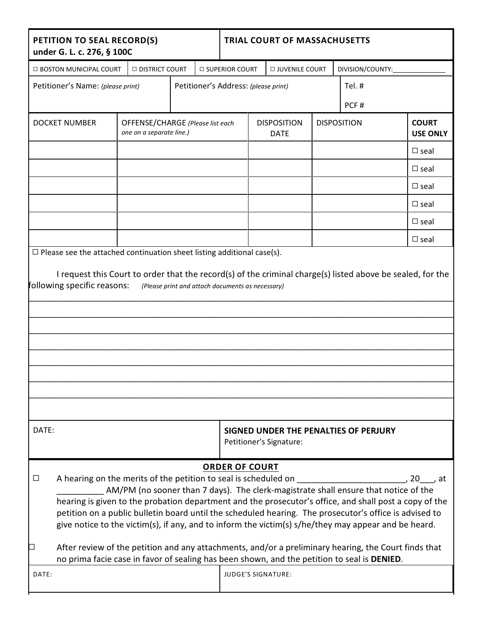| PETITION TO SEAL RECORD(S)<br>under G. L. c. 276, § 100C                                                                                                                                                                                                                                                                                                                                                                                                                                                                                                                                                                                                  |                                                              |  |  |                                                    | <b>TRIAL COURT OF MASSACHUSETTS</b>           |                                                                  |  |                  |                    |  |                                 |  |
|-----------------------------------------------------------------------------------------------------------------------------------------------------------------------------------------------------------------------------------------------------------------------------------------------------------------------------------------------------------------------------------------------------------------------------------------------------------------------------------------------------------------------------------------------------------------------------------------------------------------------------------------------------------|--------------------------------------------------------------|--|--|----------------------------------------------------|-----------------------------------------------|------------------------------------------------------------------|--|------------------|--------------------|--|---------------------------------|--|
|                                                                                                                                                                                                                                                                                                                                                                                                                                                                                                                                                                                                                                                           | <b>E BOSTON MUNICIPAL COURT</b><br><b>DISTRICT COURT</b>     |  |  | <b>D SUPERIOR COURT</b><br><b>D JUVENILE COURT</b> |                                               |                                                                  |  | DIVISION/COUNTY: |                    |  |                                 |  |
|                                                                                                                                                                                                                                                                                                                                                                                                                                                                                                                                                                                                                                                           | Petitioner's Name: (please print)                            |  |  |                                                    | Tel.#<br>Petitioner's Address: (please print) |                                                                  |  |                  |                    |  |                                 |  |
|                                                                                                                                                                                                                                                                                                                                                                                                                                                                                                                                                                                                                                                           |                                                              |  |  |                                                    |                                               |                                                                  |  |                  | PCF#               |  |                                 |  |
| <b>DOCKET NUMBER</b>                                                                                                                                                                                                                                                                                                                                                                                                                                                                                                                                                                                                                                      | OFFENSE/CHARGE (Please list each<br>one on a separate line.) |  |  |                                                    | <b>DISPOSITION</b><br><b>DATE</b>             |                                                                  |  |                  | <b>DISPOSITION</b> |  | <b>COURT</b><br><b>USE ONLY</b> |  |
|                                                                                                                                                                                                                                                                                                                                                                                                                                                                                                                                                                                                                                                           |                                                              |  |  |                                                    |                                               |                                                                  |  |                  |                    |  | $\Box$ seal                     |  |
|                                                                                                                                                                                                                                                                                                                                                                                                                                                                                                                                                                                                                                                           |                                                              |  |  |                                                    |                                               |                                                                  |  |                  |                    |  | $\Box$ seal                     |  |
|                                                                                                                                                                                                                                                                                                                                                                                                                                                                                                                                                                                                                                                           |                                                              |  |  |                                                    |                                               |                                                                  |  |                  |                    |  | $\Box$ seal                     |  |
|                                                                                                                                                                                                                                                                                                                                                                                                                                                                                                                                                                                                                                                           |                                                              |  |  |                                                    |                                               |                                                                  |  |                  |                    |  | $\Box$ seal                     |  |
|                                                                                                                                                                                                                                                                                                                                                                                                                                                                                                                                                                                                                                                           |                                                              |  |  |                                                    |                                               |                                                                  |  |                  |                    |  | $\Box$ seal                     |  |
|                                                                                                                                                                                                                                                                                                                                                                                                                                                                                                                                                                                                                                                           |                                                              |  |  |                                                    |                                               |                                                                  |  |                  |                    |  | $\Box$ seal                     |  |
|                                                                                                                                                                                                                                                                                                                                                                                                                                                                                                                                                                                                                                                           |                                                              |  |  |                                                    |                                               |                                                                  |  |                  |                    |  |                                 |  |
| DATE:                                                                                                                                                                                                                                                                                                                                                                                                                                                                                                                                                                                                                                                     |                                                              |  |  |                                                    |                                               | SIGNED UNDER THE PENALTIES OF PERJURY<br>Petitioner's Signature: |  |                  |                    |  |                                 |  |
| <b>ORDER OF COURT</b><br>$\Box$<br>AM/PM (no sooner than 7 days). The clerk-magistrate shall ensure that notice of the<br>hearing is given to the probation department and the prosecutor's office, and shall post a copy of the<br>petition on a public bulletin board until the scheduled hearing. The prosecutor's office is advised to<br>give notice to the victim(s), if any, and to inform the victim(s) s/he/they may appear and be heard.<br>After review of the petition and any attachments, and/or a preliminary hearing, the Court finds that<br>no prima facie case in favor of sealing has been shown, and the petition to seal is DENIED. |                                                              |  |  |                                                    |                                               |                                                                  |  |                  |                    |  |                                 |  |
| DATE:                                                                                                                                                                                                                                                                                                                                                                                                                                                                                                                                                                                                                                                     |                                                              |  |  |                                                    | <b>JUDGE'S SIGNATURE:</b>                     |                                                                  |  |                  |                    |  |                                 |  |
|                                                                                                                                                                                                                                                                                                                                                                                                                                                                                                                                                                                                                                                           |                                                              |  |  |                                                    |                                               |                                                                  |  |                  |                    |  |                                 |  |